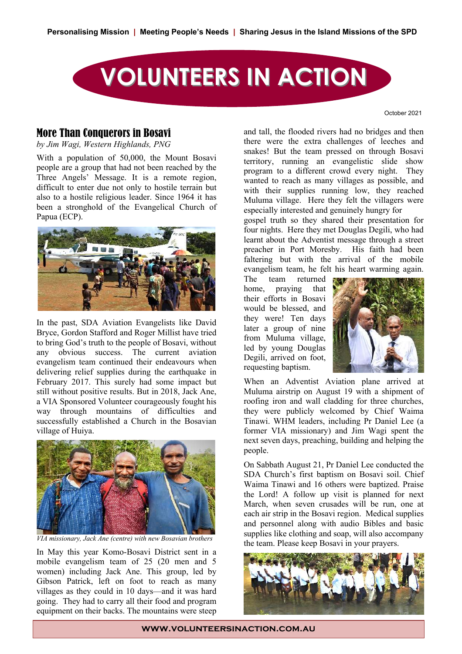

October 2021

### More Than Conquerors in Bosavi

by Jim Wagi, Western Highlands, PNG

 $\overline{y}$  With a population of 50,000, the Mount Bosavi people are a group that had not been reached by the Three Angels' Message. It is a remote region, difficult to enter due not only to hostile terrain but also to a hostile religious leader. Since 1964 it has been a stronghold of the Evangelical Church of Papua (ECP). population of  $50,000$ , the Mount Bosavi a hostile religious leader. Since  $1904$  it has



In the past, SDA Aviation Evangelists like David Bryce, Gordon Stafford and Roger Millist have tried to bring God's truth to the people of Bosavi, without any obvious success. The current aviation evangelism team continued their endeavours when delivering relief supplies during the earthquake in February 2017. This surely had some impact but Whe still without positive results. But in 2018, Jack Ane, a VIA Sponsored Volunteer courageously fought his way through mountains of difficulties and they successfully established a Church in the Bosavian Tina village of Huiya. The contract of the set of the set of the set of the set of the set of the set of the set of the set of the set of the set of the set of the set of the set of the set of the set of the set of the set of t



*VIA missionary, Jack Ane (centre) with new Bosavian brothers*

In May this year Komo-Bosavi District sent in a mobile evangelism team of 25 (20 men and 5 women) including Jack Ane. This group, led by Gibson Patrick, left on foot to reach as many villages as they could in 10 days—and it was hard going. They had to carry all their food and program equipment on their backs. The mountains were steep

and tall, the flooded rivers had no bridges and then there were the extra challenges of leeches and snakes! But the team pressed on through Bosavi territory, running an evangelistic slide show program to a different crowd every night. They wanted to reach as many villages as possible, and with their supplies running low, they reached Muluma village. Here they felt the villagers were especially interested and genuinely hungry for wanted to reach as many vinages as pos

gospel truth so they shared their presentation for four nights. Here they met Douglas Degili, who had learnt about the Adventist message through a street preacher in Port Moresby. His faith had been faltering but with the arrival of the mobile **Eastern Highlands Simbu Mission** evangelism team, he felt his heart warming again. Ioul Inghts. Title they met Douglas Degm,

The team returned home, praying that their efforts in Bosavi would be blessed, and they were! Ten days later a group of nine from Muluma village, led by young Douglas  $\frac{1}{2}$  Degili, arrived on foot, requesting baptism.  $Dcgm$ ,  $a$ <sub>11</sub> $vca$  or



When an Adventist Aviation plane arrived at Muluma airstrip on August 19 with a shipment of roofing iron and wall cladding for three churches, they were publicly welcomed by Chief Waima Tinawi. WHM leaders, including Pr Daniel Lee (a former VIA missionary) and Jim Wagi spent the next seven days, preaching, building and helping the people.

On Sabbath August 21, Pr Daniel Lee conducted the SDA Church's first baptism on Bosavi soil. Chief Waima Tinawi and 16 others were baptized. Praise the Lord! A follow up visit is planned for next March, when seven crusades will be run, one at each air strip in the Bosavi region. Medical supplies and personnel along with audio Bibles and basic supplies like clothing and soap, will also accompany the team. Please keep Bosavi in your prayers.

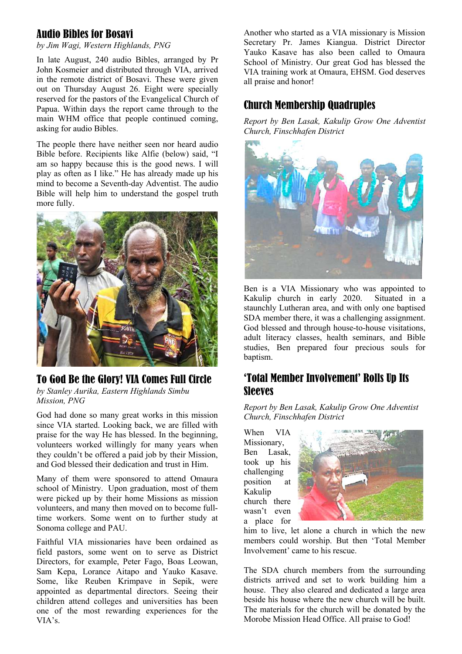## Audio Bibles for Bosavi

*by Jim Wagi, Western Highlands, PNG*

In late August, 240 audio Bibles, arranged by Pr John Kosmeier and distributed through VIA, arrived in the remote district of Bosavi. These were given out on Thursday August 26. Eight were specially reserved for the pastors of the Evangelical Church of Papua. Within days the report came through to the main WHM office that people continued coming, asking for audio Bibles.

The people there have neither seen nor heard audio Bible before. Recipients like Alfie (below) said, "I am so happy because this is the good news. I will play as often as I like." He has already made up his mind to become a Seventh-day Adventist. The audio Bible will help him to understand the gospel truth more fully.



# To God Be the Glory! VIA Comes Full Circle

*by Stanley Aurika, Eastern Highlands Simbu Mission, PNG*

God had done so many great works in this mission since VIA started. Looking back, we are filled with praise for the way He has blessed. In the beginning, volunteers worked willingly for many years when they couldn't be offered a paid job by their Mission, and God blessed their dedication and trust in Him.

Many of them were sponsored to attend Omaura school of Ministry. Upon graduation, most of them were picked up by their home Missions as mission volunteers, and many then moved on to become fulltime workers. Some went on to further study at Sonoma college and PAU.

Faithful VIA missionaries have been ordained as field pastors, some went on to serve as District Directors, for example, Peter Fago, Boas Leowan, Sam Kepa, Lorance Aitapo and Yauko Kasave. Some, like Reuben Krimpave in Sepik, were appointed as departmental directors. Seeing their children attend colleges and universities has been one of the most rewarding experiences for the VIA's.

Another who started as a VIA missionary is Mission Secretary Pr. James Kiangua. District Director Yauko Kasave has also been called to Omaura School of Ministry. Our great God has blessed the VIA training work at Omaura, EHSM. God deserves all praise and honor!

# Church Membership Quadruples

*Report by Ben Lasak, Kakulip Grow One Adventist Church, Finschhafen District*



Ben is a VIA Missionary who was appointed to Kakulip church in early 2020. Situated in a staunchly Lutheran area, and with only one baptised SDA member there, it was a challenging assignment. God blessed and through house-to-house visitations, adult literacy classes, health seminars, and Bible studies, Ben prepared four precious souls for baptism.

# 'Total Member Involvement' Rolls Up Its Sleeves

*Report by Ben Lasak, Kakulip Grow One Adventist Church, Finschhafen District*

When VIA Missionary, Ben Lasak, took up his challenging position at Kakulip church there wasn't even a place for



him to live, let alone a church in which the new members could worship. But then 'Total Member Involvement' came to his rescue.

The SDA church members from the surrounding districts arrived and set to work building him a house. They also cleared and dedicated a large area beside his house where the new church will be built. The materials for the church will be donated by the Morobe Mission Head Office. All praise to God!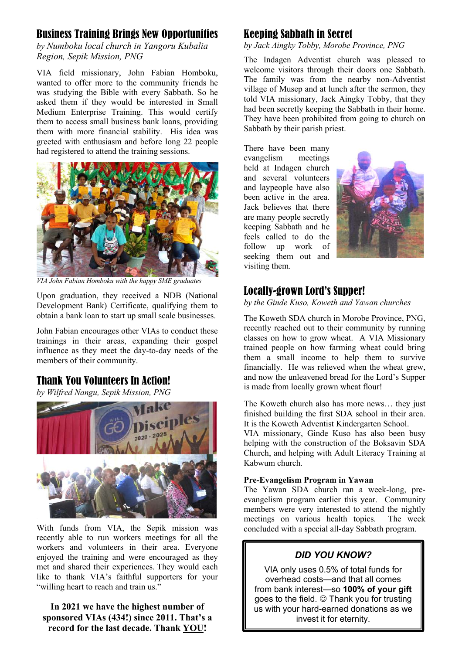### Business Training Brings New Opportunities

*by Numboku local church in Yangoru Kubalia Region, Sepik Mission, PNG*

VIA field missionary, John Fabian Homboku, wanted to offer more to the community friends he was studying the Bible with every Sabbath. So he asked them if they would be interested in Small Medium Enterprise Training. This would certify them to access small business bank loans, providing them with more financial stability. His idea was greeted with enthusiasm and before long 22 people had registered to attend the training sessions.



*VIA John Fabian Homboku with the happy SME graduates*

Upon graduation, they received a NDB (National Development Bank) Certificate, qualifying them to obtain a bank loan to start up small scale businesses.

John Fabian encourages other VIAs to conduct these trainings in their areas, expanding their gospel influence as they meet the day-to-day needs of the members of their community.

### Thank You Volunteers In Action!

*by Wilfred Nangu, Sepik Mission, PNG*



With funds from VIA, the Sepik mission was recently able to run workers meetings for all the workers and volunteers in their area. Everyone enjoyed the training and were encouraged as they met and shared their experiences. They would each like to thank VIA's faithful supporters for your "willing heart to reach and train us."

### **In 2021 we have the highest number of sponsored VIAs (434!) since 2011. That's a record for the last decade. Thank YOU!**

# Keeping Sabbath in Secret

#### *by Jack Aingky Tobby, Morobe Province, PNG*

The Indagen Adventist church was pleased to welcome visitors through their doors one Sabbath. The family was from the nearby non-Adventist village of Musep and at lunch after the sermon, they told VIA missionary, Jack Aingky Tobby, that they had been secretly keeping the Sabbath in their home. They have been prohibited from going to church on Sabbath by their parish priest.

There have been many evangelism meetings held at Indagen church and several volunteers and laypeople have also been active in the area. Jack believes that there are many people secretly keeping Sabbath and he feels called to do the follow up work of seeking them out and visiting them.



### Locally-grown Lord's Supper!

*by the Ginde Kuso, Koweth and Yawan churches*

The Koweth SDA church in Morobe Province, PNG, recently reached out to their community by running classes on how to grow wheat. A VIA Missionary trained people on how farming wheat could bring them a small income to help them to survive financially. He was relieved when the wheat grew, and now the unleavened bread for the Lord's Supper is made from locally grown wheat flour!

The Koweth church also has more news… they just finished building the first SDA school in their area. It is the Koweth Adventist Kindergarten School.

VIA missionary, Ginde Kuso has also been busy helping with the construction of the Boksavin SDA Church, and helping with Adult Literacy Training at Kabwum church.

#### **Pre-Evangelism Program in Yawan**

The Yawan SDA church ran a week-long, preevangelism program earlier this year. Community members were very interested to attend the nightly meetings on various health topics. The week concluded with a special all-day Sabbath program.

# *DID YOU KNOW?*

VIA only uses 0.5% of total funds for overhead costs—and that all comes from bank interest—so **100% of your gift**  goes to the field.  $\odot$  Thank you for trusting us with your hard-earned donations as we invest it for eternity.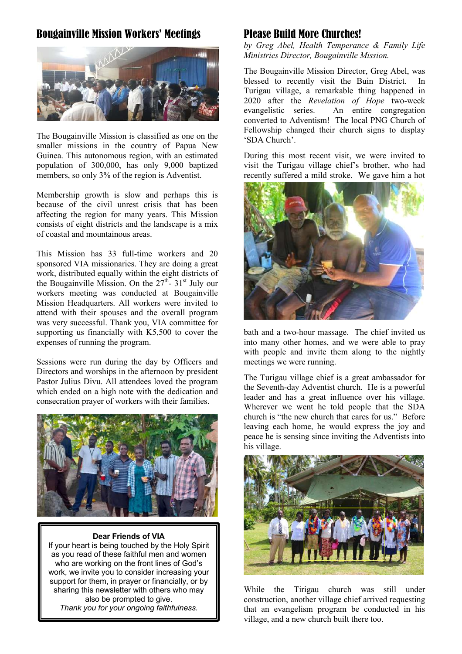# Bougainville Mission Workers' Meetings



The Bougainville Mission is classified as one on the smaller missions in the country of Papua New Guinea. This autonomous region, with an estimated population of 300,000, has only 9,000 baptized members, so only 3% of the region is Adventist.

Membership growth is slow and perhaps this is because of the civil unrest crisis that has been affecting the region for many years. This Mission consists of eight districts and the landscape is a mix of coastal and mountainous areas.

This Mission has 33 full-time workers and 20 sponsored VIA missionaries. They are doing a great work, distributed equally within the eight districts of the Bougainville Mission. On the  $27<sup>th</sup>$ -  $31<sup>st</sup>$  July our workers meeting was conducted at Bougainville Mission Headquarters. All workers were invited to attend with their spouses and the overall program was very successful. Thank you, VIA committee for supporting us financially with K5,500 to cover the expenses of running the program.

Sessions were run during the day by Officers and Directors and worships in the afternoon by president Pastor Julius Divu. All attendees loved the program which ended on a high note with the dedication and consecration prayer of workers with their families.



#### **Dear Friends of VIA**

If your heart is being touched by the Holy Spirit as you read of these faithful men and women who are working on the front lines of God's work, we invite you to consider increasing your support for them, in prayer or financially, or by sharing this newsletter with others who may also be prompted to give. *Thank you for your ongoing faithfulness.*

### Please Build More Churches!

*by Greg Abel, Health Temperance & Family Life Ministries Director, Bougainville Mission.* 

The Bougainville Mission Director, Greg Abel, was blessed to recently visit the Buin District. In Turigau village, a remarkable thing happened in 2020 after the *Revelation of Hope* two-week evangelistic series. An entire congregation converted to Adventism! The local PNG Church of Fellowship changed their church signs to display 'SDA Church'.

During this most recent visit, we were invited to visit the Turigau village chief's brother, who had recently suffered a mild stroke. We gave him a hot



bath and a two-hour massage. The chief invited us into many other homes, and we were able to pray with people and invite them along to the nightly meetings we were running.

The Turigau village chief is a great ambassador for the Seventh-day Adventist church. He is a powerful leader and has a great influence over his village. Wherever we went he told people that the SDA church is "the new church that cares for us." Before leaving each home, he would express the joy and peace he is sensing since inviting the Adventists into his village.



While the Tirigau church was still under construction, another village chief arrived requesting that an evangelism program be conducted in his village, and a new church built there too.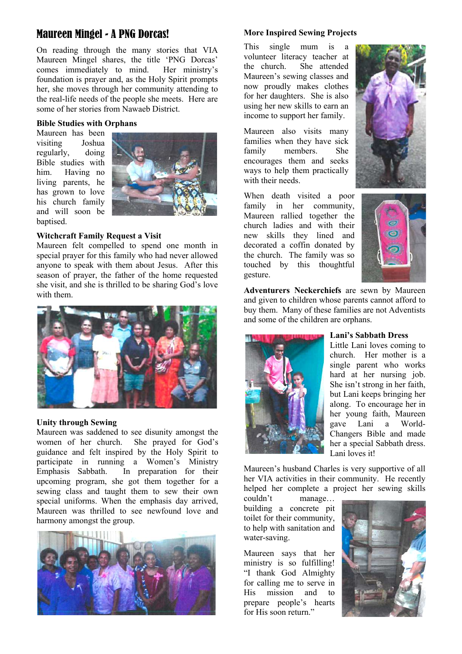# Maureen Mingel - A PNG Dorcas!

On reading through the many stories that VIA Maureen Mingel shares, the title 'PNG Dorcas' comes immediately to mind. Her ministry's foundation is prayer and, as the Holy Spirit prompts her, she moves through her community attending to the real-life needs of the people she meets. Here are some of her stories from Nawaeb District.

#### **Bible Studies with Orphans**

Maureen has been visiting Joshua regularly, doing Bible studies with him. Having no living parents, he has grown to love his church family and will soon be baptised.



#### **Witchcraft Family Request a Visit**

Maureen felt compelled to spend one month in special prayer for this family who had never allowed anyone to speak with them about Jesus. After this season of prayer, the father of the home requested she visit, and she is thrilled to be sharing God's love with them.



#### **Unity through Sewing**

Maureen was saddened to see disunity amongst the women of her church. She prayed for God's guidance and felt inspired by the Holy Spirit to participate in running a Women's Ministry Emphasis Sabbath. In preparation for their upcoming program, she got them together for a sewing class and taught them to sew their own special uniforms. When the emphasis day arrived, Maureen was thrilled to see newfound love and harmony amongst the group.



#### **More Inspired Sewing Projects**

This single mum is a volunteer literacy teacher at the church. She attended Maureen's sewing classes and now proudly makes clothes for her daughters. She is also using her new skills to earn an income to support her family.

Maureen also visits many families when they have sick family members. She encourages them and seeks ways to help them practically with their needs.

When death visited a poor family in her community, Maureen rallied together the church ladies and with their new skills they lined and decorated a coffin donated by the church. The family was so touched by this thoughtful gesture.





**Adventurers Neckerchiefs** are sewn by Maureen and given to children whose parents cannot afford to buy them. Many of these families are not Adventists and some of the children are orphans.



#### **Lani's Sabbath Dress**

Little Lani loves coming to church. Her mother is a single parent who works hard at her nursing job. She isn't strong in her faith, but Lani keeps bringing her along. To encourage her in her young faith, Maureen gave Lani a World-Changers Bible and made her a special Sabbath dress. Lani loves it!

Maureen's husband Charles is very supportive of all her VIA activities in their community. He recently helped her complete a project her sewing skills

couldn't manage… building a concrete pit toilet for their community, to help with sanitation and water-saving.

Maureen says that her ministry is so fulfilling! "I thank God Almighty for calling me to serve in His mission and to prepare people's hearts for His soon return."